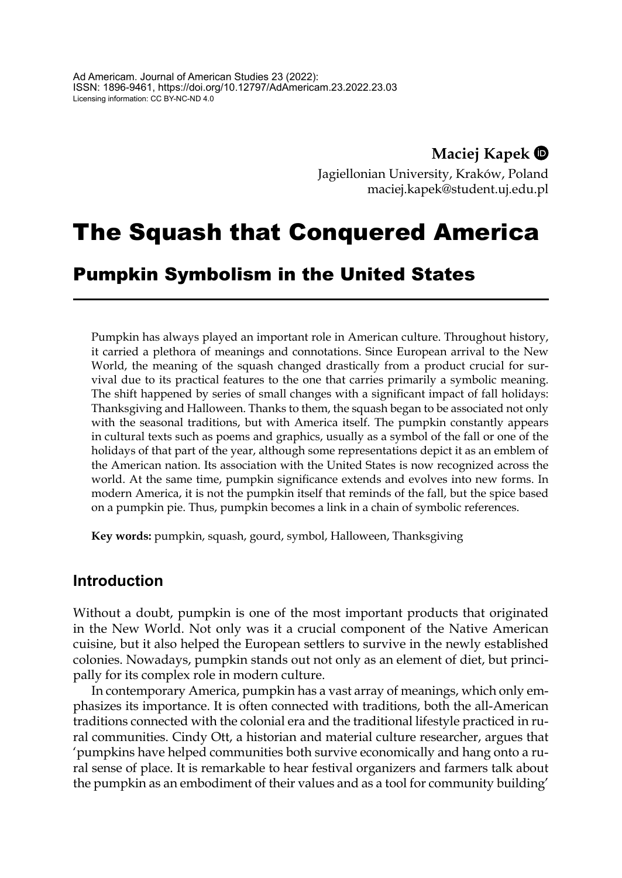**Maciej Kapek**

Jagiellonian University, Kraków, Poland maciej.kapek@student.uj.edu.pl

# The Squash that Conquered America

## Pumpkin Symbolism in the United States

Pumpkin has always played an important role in American culture. Throughout history, it carried a plethora of meanings and connotations. Since European arrival to the New World, the meaning of the squash changed drastically from a product crucial for survival due to its practical features to the one that carries primarily a symbolic meaning. The shift happened by series of small changes with a significant impact of fall holidays: Thanksgiving and Halloween. Thanks to them, the squash began to be associated not only with the seasonal traditions, but with America itself. The pumpkin constantly appears in cultural texts such as poems and graphics, usually as a symbol of the fall or one of the holidays of that part of the year, although some representations depict it as an emblem of the American nation. Its association with the United States is now recognized across the world. At the same time, pumpkin significance extends and evolves into new forms. In modern America, it is not the pumpkin itself that reminds of the fall, but the spice based on a pumpkin pie. Thus, pumpkin becomes a link in a chain of symbolic references.

**Key words:** pumpkin, squash, gourd, symbol, Halloween, Thanksgiving

### **Introduction**

Without a doubt, pumpkin is one of the most important products that originated in the New World. Not only was it a crucial component of the Native American cuisine, but it also helped the European settlers to survive in the newly established colonies. Nowadays, pumpkin stands out not only as an element of diet, but principally for its complex role in modern culture.

In contemporary America, pumpkin has a vast array of meanings, which only emphasizes its importance. It is often connected with traditions, both the all-American traditions connected with the colonial era and the traditional lifestyle practiced in rural communities. Cindy Ott, a historian and material culture researcher, argues that 'pumpkins have helped communities both survive economically and hang onto a rural sense of place. It is remarkable to hear festival organizers and farmers talk about the pumpkin as an embodiment of their values and as a tool for community building'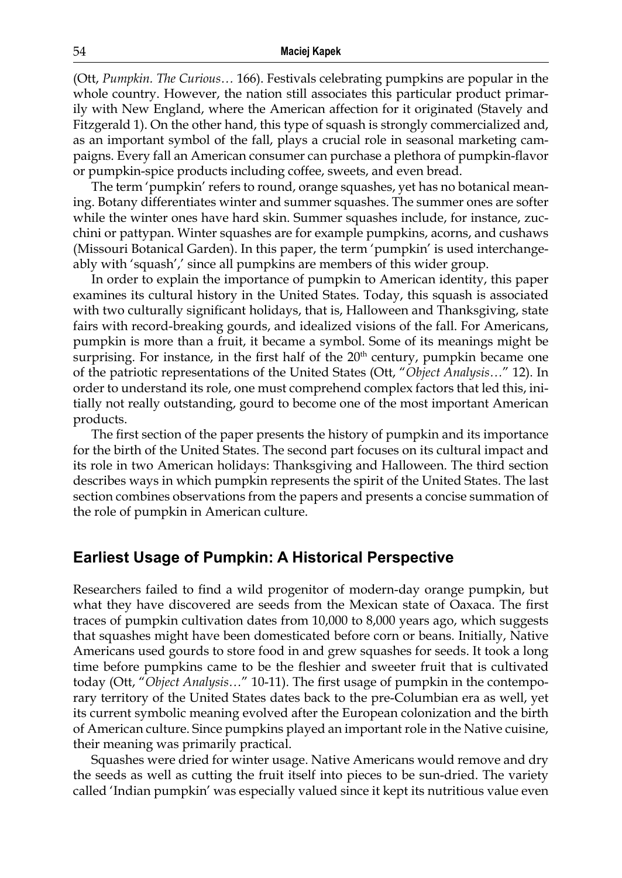(Ott, *Pumpkin. The Curious…* 166). Festivals celebrating pumpkins are popular in the whole country. However, the nation still associates this particular product primarily with New England, where the American affection for it originated (Stavely and Fitzgerald 1). On the other hand, this type of squash is strongly commercialized and, as an important symbol of the fall, plays a crucial role in seasonal marketing campaigns. Every fall an American consumer can purchase a plethora of pumpkin-flavor or pumpkin-spice products including coffee, sweets, and even bread.

The term 'pumpkin' refers to round, orange squashes, yet has no botanical meaning. Botany differentiates winter and summer squashes. The summer ones are softer while the winter ones have hard skin. Summer squashes include, for instance, zucchini or pattypan. Winter squashes are for example pumpkins, acorns, and cushaws (Missouri Botanical Garden). In this paper, the term 'pumpkin' is used interchangeably with 'squash',' since all pumpkins are members of this wider group.

In order to explain the importance of pumpkin to American identity, this paper examines its cultural history in the United States. Today, this squash is associated with two culturally significant holidays, that is, Halloween and Thanksgiving, state fairs with record-breaking gourds, and idealized visions of the fall. For Americans, pumpkin is more than a fruit, it became a symbol. Some of its meanings might be surprising. For instance, in the first half of the  $20<sup>th</sup>$  century, pumpkin became one of the patriotic representations of the United States (Ott, "*Object Analysis…*" 12). In order to understand its role, one must comprehend complex factors that led this, initially not really outstanding, gourd to become one of the most important American products.

The first section of the paper presents the history of pumpkin and its importance for the birth of the United States. The second part focuses on its cultural impact and its role in two American holidays: Thanksgiving and Halloween. The third section describes ways in which pumpkin represents the spirit of the United States. The last section combines observations from the papers and presents a concise summation of the role of pumpkin in American culture.

#### **Earliest Usage of Pumpkin: A Historical Perspective**

Researchers failed to find a wild progenitor of modern-day orange pumpkin, but what they have discovered are seeds from the Mexican state of Oaxaca. The first traces of pumpkin cultivation dates from 10,000 to 8,000 years ago, which suggests that squashes might have been domesticated before corn or beans. Initially, Native Americans used gourds to store food in and grew squashes for seeds. It took a long time before pumpkins came to be the fleshier and sweeter fruit that is cultivated today (Ott, "*Object Analysis…*" 10-11). The first usage of pumpkin in the contemporary territory of the United States dates back to the pre-Columbian era as well, yet its current symbolic meaning evolved after the European colonization and the birth of American culture. Since pumpkins played an important role in the Native cuisine, their meaning was primarily practical.

Squashes were dried for winter usage. Native Americans would remove and dry the seeds as well as cutting the fruit itself into pieces to be sun-dried. The variety called 'Indian pumpkin' was especially valued since it kept its nutritious value even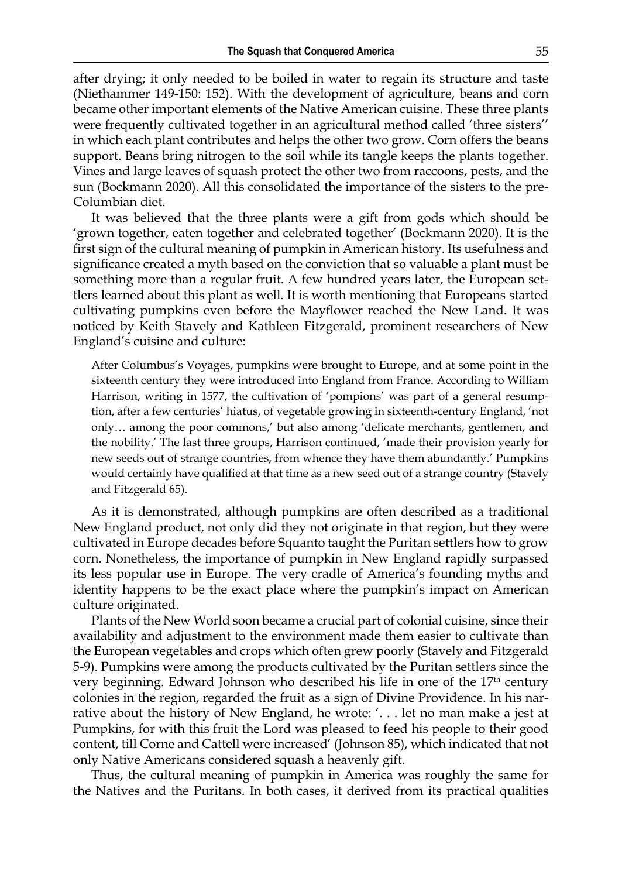after drying; it only needed to be boiled in water to regain its structure and taste (Niethammer 149-150: 152). With the development of agriculture, beans and corn became other important elements of the Native American cuisine. These three plants were frequently cultivated together in an agricultural method called 'three sisters'' in which each plant contributes and helps the other two grow. Corn offers the beans support. Beans bring nitrogen to the soil while its tangle keeps the plants together. Vines and large leaves of squash protect the other two from raccoons, pests, and the sun (Bockmann 2020). All this consolidated the importance of the sisters to the pre-Columbian diet.

It was believed that the three plants were a gift from gods which should be 'grown together, eaten together and celebrated together' (Bockmann 2020). It is the first sign of the cultural meaning of pumpkin in American history. Its usefulness and significance created a myth based on the conviction that so valuable a plant must be something more than a regular fruit. A few hundred years later, the European settlers learned about this plant as well. It is worth mentioning that Europeans started cultivating pumpkins even before the Mayflower reached the New Land. It was noticed by Keith Stavely and Kathleen Fitzgerald, prominent researchers of New England's cuisine and culture:

After Columbus's Voyages, pumpkins were brought to Europe, and at some point in the sixteenth century they were introduced into England from France. According to William Harrison, writing in 1577, the cultivation of 'pompions' was part of a general resumption, after a few centuries' hiatus, of vegetable growing in sixteenth-century England, 'not only… among the poor commons,' but also among 'delicate merchants, gentlemen, and the nobility.' The last three groups, Harrison continued, 'made their provision yearly for new seeds out of strange countries, from whence they have them abundantly.' Pumpkins would certainly have qualified at that time as a new seed out of a strange country (Stavely and Fitzgerald 65).

As it is demonstrated, although pumpkins are often described as a traditional New England product, not only did they not originate in that region, but they were cultivated in Europe decades before Squanto taught the Puritan settlers how to grow corn. Nonetheless, the importance of pumpkin in New England rapidly surpassed its less popular use in Europe. The very cradle of America's founding myths and identity happens to be the exact place where the pumpkin's impact on American culture originated.

Plants of the New World soon became a crucial part of colonial cuisine, since their availability and adjustment to the environment made them easier to cultivate than the European vegetables and crops which often grew poorly (Stavely and Fitzgerald 5-9). Pumpkins were among the products cultivated by the Puritan settlers since the very beginning. Edward Johnson who described his life in one of the  $17<sup>th</sup>$  century colonies in the region, regarded the fruit as a sign of Divine Providence. In his narrative about the history of New England, he wrote: '. . . let no man make a jest at Pumpkins, for with this fruit the Lord was pleased to feed his people to their good content, till Corne and Cattell were increased' (Johnson 85), which indicated that not only Native Americans considered squash a heavenly gift.

Thus, the cultural meaning of pumpkin in America was roughly the same for the Natives and the Puritans. In both cases, it derived from its practical qualities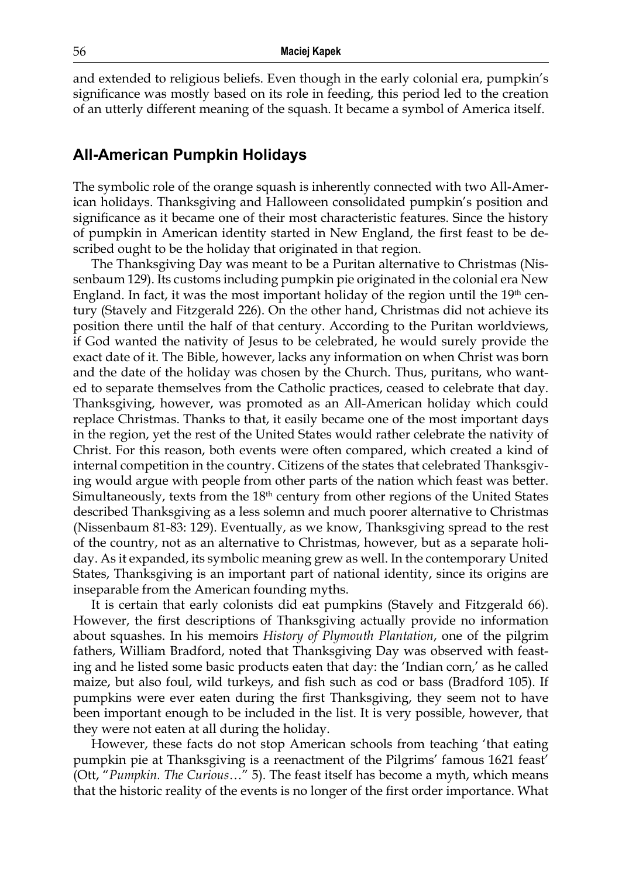and extended to religious beliefs. Even though in the early colonial era, pumpkin's significance was mostly based on its role in feeding, this period led to the creation of an utterly different meaning of the squash. It became a symbol of America itself.

#### **All-American Pumpkin Holidays**

The symbolic role of the orange squash is inherently connected with two All-American holidays. Thanksgiving and Halloween consolidated pumpkin's position and significance as it became one of their most characteristic features. Since the history of pumpkin in American identity started in New England, the first feast to be described ought to be the holiday that originated in that region.

The Thanksgiving Day was meant to be a Puritan alternative to Christmas (Nissenbaum 129). Its customs including pumpkin pie originated in the colonial era New England. In fact, it was the most important holiday of the region until the  $19<sup>th</sup>$  century (Stavely and Fitzgerald 226). On the other hand, Christmas did not achieve its position there until the half of that century. According to the Puritan worldviews, if God wanted the nativity of Jesus to be celebrated, he would surely provide the exact date of it. The Bible, however, lacks any information on when Christ was born and the date of the holiday was chosen by the Church. Thus, puritans, who wanted to separate themselves from the Catholic practices, ceased to celebrate that day. Thanksgiving, however, was promoted as an All-American holiday which could replace Christmas. Thanks to that, it easily became one of the most important days in the region, yet the rest of the United States would rather celebrate the nativity of Christ. For this reason, both events were often compared, which created a kind of internal competition in the country. Citizens of the states that celebrated Thanksgiving would argue with people from other parts of the nation which feast was better. Simultaneously, texts from the  $18<sup>th</sup>$  century from other regions of the United States described Thanksgiving as a less solemn and much poorer alternative to Christmas (Nissenbaum 81-83: 129). Eventually, as we know, Thanksgiving spread to the rest of the country, not as an alternative to Christmas, however, but as a separate holiday. As it expanded, its symbolic meaning grew as well. In the contemporary United States, Thanksgiving is an important part of national identity, since its origins are inseparable from the American founding myths.

It is certain that early colonists did eat pumpkins (Stavely and Fitzgerald 66). However, the first descriptions of Thanksgiving actually provide no information about squashes. In his memoirs *History of Plymouth Plantation*, one of the pilgrim fathers, William Bradford, noted that Thanksgiving Day was observed with feasting and he listed some basic products eaten that day: the 'Indian corn,' as he called maize, but also foul, wild turkeys, and fish such as cod or bass (Bradford 105). If pumpkins were ever eaten during the first Thanksgiving, they seem not to have been important enough to be included in the list. It is very possible, however, that they were not eaten at all during the holiday.

However, these facts do not stop American schools from teaching 'that eating pumpkin pie at Thanksgiving is a reenactment of the Pilgrims' famous 1621 feast' (Ott, "*Pumpkin. The Curious*…" 5). The feast itself has become a myth, which means that the historic reality of the events is no longer of the first order importance. What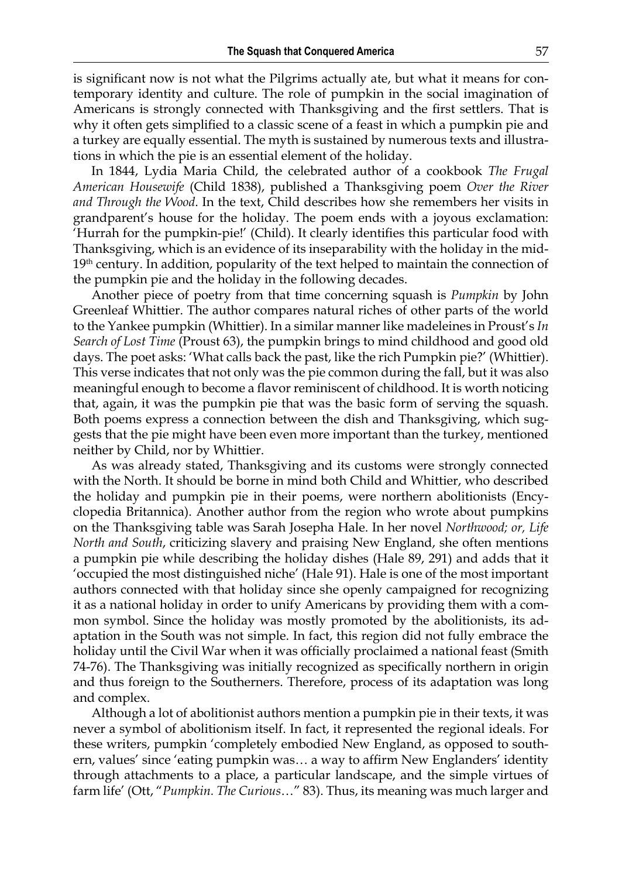is significant now is not what the Pilgrims actually ate, but what it means for contemporary identity and culture. The role of pumpkin in the social imagination of Americans is strongly connected with Thanksgiving and the first settlers. That is why it often gets simplified to a classic scene of a feast in which a pumpkin pie and a turkey are equally essential. The myth is sustained by numerous texts and illustrations in which the pie is an essential element of the holiday.

In 1844, Lydia Maria Child, the celebrated author of a cookbook *The Frugal American Housewife* (Child 1838), published a Thanksgiving poem *Over the River and Through the Wood*. In the text, Child describes how she remembers her visits in grandparent's house for the holiday. The poem ends with a joyous exclamation: 'Hurrah for the pumpkin-pie!' (Child). It clearly identifies this particular food with Thanksgiving, which is an evidence of its inseparability with the holiday in the mid- $19<sup>th</sup>$  century. In addition, popularity of the text helped to maintain the connection of the pumpkin pie and the holiday in the following decades.

Another piece of poetry from that time concerning squash is *Pumpkin* by John Greenleaf Whittier. The author compares natural riches of other parts of the world to the Yankee pumpkin (Whittier). In a similar manner like madeleines in Proust's *In Search of Lost Time* (Proust 63), the pumpkin brings to mind childhood and good old days. The poet asks: 'What calls back the past, like the rich Pumpkin pie?' (Whittier). This verse indicates that not only was the pie common during the fall, but it was also meaningful enough to become a flavor reminiscent of childhood. It is worth noticing that, again, it was the pumpkin pie that was the basic form of serving the squash. Both poems express a connection between the dish and Thanksgiving, which suggests that the pie might have been even more important than the turkey, mentioned neither by Child, nor by Whittier.

As was already stated, Thanksgiving and its customs were strongly connected with the North. It should be borne in mind both Child and Whittier, who described the holiday and pumpkin pie in their poems, were northern abolitionists (Encyclopedia Britannica). Another author from the region who wrote about pumpkins on the Thanksgiving table was Sarah Josepha Hale. In her novel *Northwood; or, Life North and South*, criticizing slavery and praising New England, she often mentions a pumpkin pie while describing the holiday dishes (Hale 89, 291) and adds that it 'occupied the most distinguished niche' (Hale 91). Hale is one of the most important authors connected with that holiday since she openly campaigned for recognizing it as a national holiday in order to unify Americans by providing them with a common symbol. Since the holiday was mostly promoted by the abolitionists, its adaptation in the South was not simple. In fact, this region did not fully embrace the holiday until the Civil War when it was officially proclaimed a national feast (Smith 74-76). The Thanksgiving was initially recognized as specifically northern in origin and thus foreign to the Southerners. Therefore, process of its adaptation was long and complex.

Although a lot of abolitionist authors mention a pumpkin pie in their texts, it was never a symbol of abolitionism itself. In fact, it represented the regional ideals. For these writers, pumpkin 'completely embodied New England, as opposed to southern, values' since 'eating pumpkin was… a way to affirm New Englanders' identity through attachments to a place, a particular landscape, and the simple virtues of farm life' (Ott, "*Pumpkin. The Curious*…" 83). Thus, its meaning was much larger and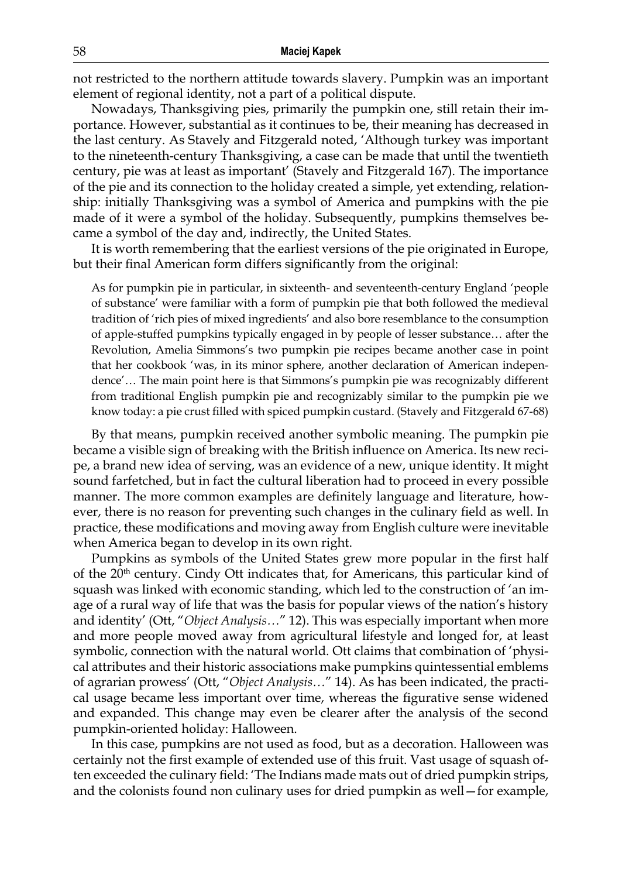not restricted to the northern attitude towards slavery. Pumpkin was an important element of regional identity, not a part of a political dispute.

Nowadays, Thanksgiving pies, primarily the pumpkin one, still retain their importance. However, substantial as it continues to be, their meaning has decreased in the last century. As Stavely and Fitzgerald noted, 'Although turkey was important to the nineteenth-century Thanksgiving, a case can be made that until the twentieth century, pie was at least as important' (Stavely and Fitzgerald 167). The importance of the pie and its connection to the holiday created a simple, yet extending, relationship: initially Thanksgiving was a symbol of America and pumpkins with the pie made of it were a symbol of the holiday. Subsequently, pumpkins themselves became a symbol of the day and, indirectly, the United States.

It is worth remembering that the earliest versions of the pie originated in Europe, but their final American form differs significantly from the original:

As for pumpkin pie in particular, in sixteenth- and seventeenth-century England 'people of substance' were familiar with a form of pumpkin pie that both followed the medieval tradition of 'rich pies of mixed ingredients' and also bore resemblance to the consumption of apple-stuffed pumpkins typically engaged in by people of lesser substance… after the Revolution, Amelia Simmons's two pumpkin pie recipes became another case in point that her cookbook 'was, in its minor sphere, another declaration of American independence'… The main point here is that Simmons's pumpkin pie was recognizably different from traditional English pumpkin pie and recognizably similar to the pumpkin pie we know today: a pie crust filled with spiced pumpkin custard. (Stavely and Fitzgerald 67-68)

By that means, pumpkin received another symbolic meaning. The pumpkin pie became a visible sign of breaking with the British influence on America. Its new recipe, a brand new idea of serving, was an evidence of a new, unique identity. It might sound farfetched, but in fact the cultural liberation had to proceed in every possible manner. The more common examples are definitely language and literature, however, there is no reason for preventing such changes in the culinary field as well. In practice, these modifications and moving away from English culture were inevitable when America began to develop in its own right.

Pumpkins as symbols of the United States grew more popular in the first half of the 20<sup>th</sup> century. Cindy Ott indicates that, for Americans, this particular kind of squash was linked with economic standing, which led to the construction of 'an image of a rural way of life that was the basis for popular views of the nation's history and identity' (Ott, "*Object Analysis…*" 12). This was especially important when more and more people moved away from agricultural lifestyle and longed for, at least symbolic, connection with the natural world. Ott claims that combination of 'physical attributes and their historic associations make pumpkins quintessential emblems of agrarian prowess' (Ott, "*Object Analysis…*" 14). As has been indicated, the practical usage became less important over time, whereas the figurative sense widened and expanded. This change may even be clearer after the analysis of the second pumpkin-oriented holiday: Halloween.

In this case, pumpkins are not used as food, but as a decoration. Halloween was certainly not the first example of extended use of this fruit. Vast usage of squash often exceeded the culinary field: 'The Indians made mats out of dried pumpkin strips, and the colonists found non culinary uses for dried pumpkin as well—for example,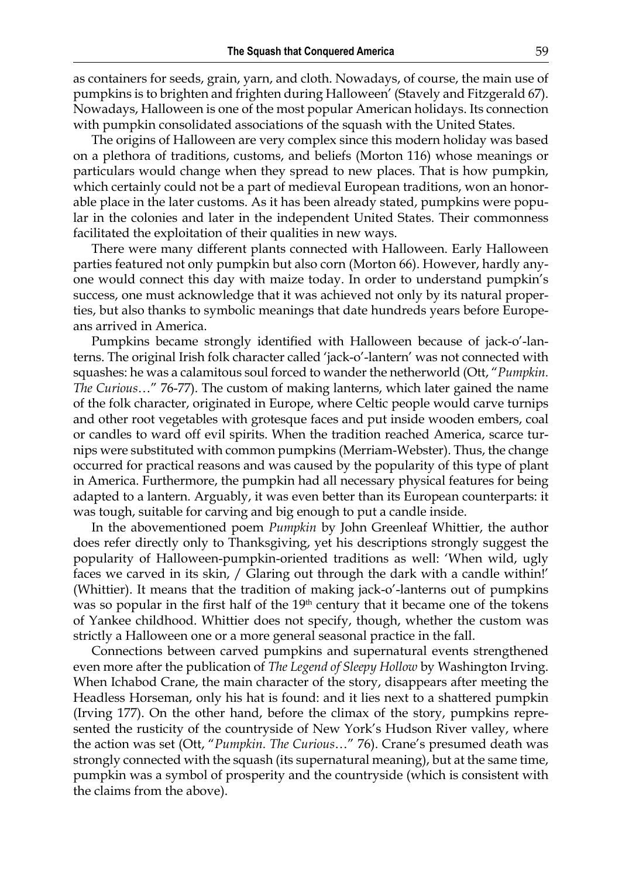as containers for seeds, grain, yarn, and cloth. Nowadays, of course, the main use of pumpkins is to brighten and frighten during Halloween' (Stavely and Fitzgerald 67). Nowadays, Halloween is one of the most popular American holidays. Its connection with pumpkin consolidated associations of the squash with the United States.

The origins of Halloween are very complex since this modern holiday was based on a plethora of traditions, customs, and beliefs (Morton 116) whose meanings or particulars would change when they spread to new places. That is how pumpkin, which certainly could not be a part of medieval European traditions, won an honorable place in the later customs. As it has been already stated, pumpkins were popular in the colonies and later in the independent United States. Their commonness facilitated the exploitation of their qualities in new ways.

There were many different plants connected with Halloween. Early Halloween parties featured not only pumpkin but also corn (Morton 66). However, hardly anyone would connect this day with maize today. In order to understand pumpkin's success, one must acknowledge that it was achieved not only by its natural properties, but also thanks to symbolic meanings that date hundreds years before Europeans arrived in America.

Pumpkins became strongly identified with Halloween because of jack-o'-lanterns. The original Irish folk character called 'jack-o'-lantern' was not connected with squashes: he was a calamitous soul forced to wander the netherworld (Ott, "*Pumpkin. The Curious*…" 76-77). The custom of making lanterns, which later gained the name of the folk character, originated in Europe, where Celtic people would carve turnips and other root vegetables with grotesque faces and put inside wooden embers, coal or candles to ward off evil spirits. When the tradition reached America, scarce turnips were substituted with common pumpkins (Merriam-Webster). Thus, the change occurred for practical reasons and was caused by the popularity of this type of plant in America. Furthermore, the pumpkin had all necessary physical features for being adapted to a lantern. Arguably, it was even better than its European counterparts: it was tough, suitable for carving and big enough to put a candle inside.

In the abovementioned poem *Pumpkin* by John Greenleaf Whittier, the author does refer directly only to Thanksgiving, yet his descriptions strongly suggest the popularity of Halloween-pumpkin-oriented traditions as well: 'When wild, ugly faces we carved in its skin, / Glaring out through the dark with a candle within!' (Whittier). It means that the tradition of making jack-o'-lanterns out of pumpkins was so popular in the first half of the 19<sup>th</sup> century that it became one of the tokens of Yankee childhood. Whittier does not specify, though, whether the custom was strictly a Halloween one or a more general seasonal practice in the fall.

Connections between carved pumpkins and supernatural events strengthened even more after the publication of *The Legend of Sleepy Hollow* by Washington Irving. When Ichabod Crane, the main character of the story, disappears after meeting the Headless Horseman, only his hat is found: and it lies next to a shattered pumpkin (Irving 177). On the other hand, before the climax of the story, pumpkins represented the rusticity of the countryside of New York's Hudson River valley, where the action was set (Ott, "*Pumpkin. The Curious*…" 76). Crane's presumed death was strongly connected with the squash (its supernatural meaning), but at the same time, pumpkin was a symbol of prosperity and the countryside (which is consistent with the claims from the above).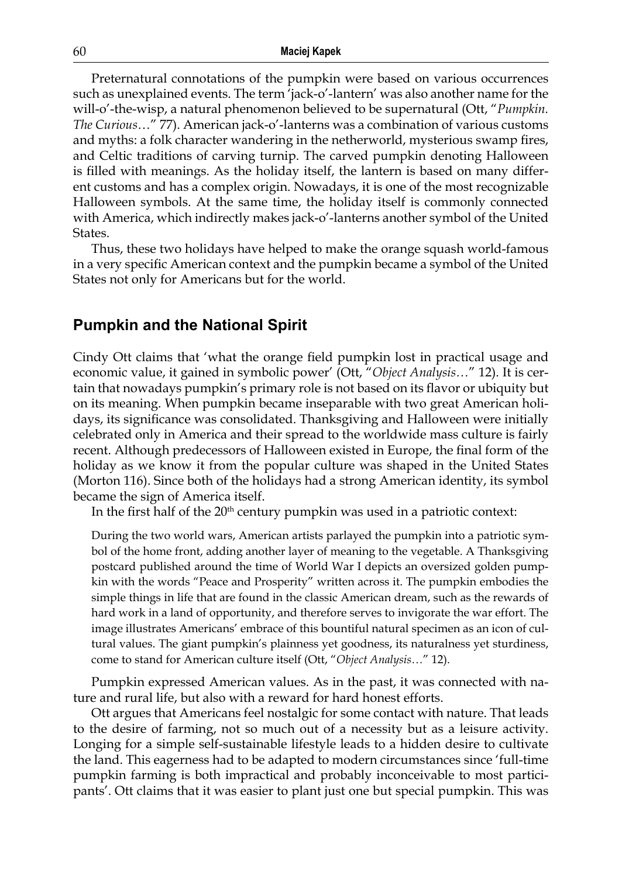Preternatural connotations of the pumpkin were based on various occurrences such as unexplained events. The term 'jack-o'-lantern' was also another name for the will-o'-the-wisp, a natural phenomenon believed to be supernatural (Ott, "*Pumpkin. The Curious*…" 77). American jack-o'-lanterns was a combination of various customs and myths: a folk character wandering in the netherworld, mysterious swamp fires, and Celtic traditions of carving turnip. The carved pumpkin denoting Halloween is filled with meanings. As the holiday itself, the lantern is based on many different customs and has a complex origin. Nowadays, it is one of the most recognizable Halloween symbols. At the same time, the holiday itself is commonly connected with America, which indirectly makes jack-o'-lanterns another symbol of the United States.

Thus, these two holidays have helped to make the orange squash world-famous in a very specific American context and the pumpkin became a symbol of the United States not only for Americans but for the world.

#### **Pumpkin and the National Spirit**

Cindy Ott claims that 'what the orange field pumpkin lost in practical usage and economic value, it gained in symbolic power' (Ott, "*Object Analysis…*" 12). It is certain that nowadays pumpkin's primary role is not based on its flavor or ubiquity but on its meaning. When pumpkin became inseparable with two great American holidays, its significance was consolidated. Thanksgiving and Halloween were initially celebrated only in America and their spread to the worldwide mass culture is fairly recent. Although predecessors of Halloween existed in Europe, the final form of the holiday as we know it from the popular culture was shaped in the United States (Morton 116). Since both of the holidays had a strong American identity, its symbol became the sign of America itself.

In the first half of the 20<sup>th</sup> century pumpkin was used in a patriotic context:

During the two world wars, American artists parlayed the pumpkin into a patriotic symbol of the home front, adding another layer of meaning to the vegetable. A Thanksgiving postcard published around the time of World War I depicts an oversized golden pumpkin with the words "Peace and Prosperity" written across it. The pumpkin embodies the simple things in life that are found in the classic American dream, such as the rewards of hard work in a land of opportunity, and therefore serves to invigorate the war effort. The image illustrates Americans' embrace of this bountiful natural specimen as an icon of cultural values. The giant pumpkin's plainness yet goodness, its naturalness yet sturdiness, come to stand for American culture itself (Ott, "*Object Analysis…*" 12).

Pumpkin expressed American values. As in the past, it was connected with nature and rural life, but also with a reward for hard honest efforts.

Ott argues that Americans feel nostalgic for some contact with nature. That leads to the desire of farming, not so much out of a necessity but as a leisure activity. Longing for a simple self-sustainable lifestyle leads to a hidden desire to cultivate the land. This eagerness had to be adapted to modern circumstances since 'full-time pumpkin farming is both impractical and probably inconceivable to most participants'. Ott claims that it was easier to plant just one but special pumpkin. This was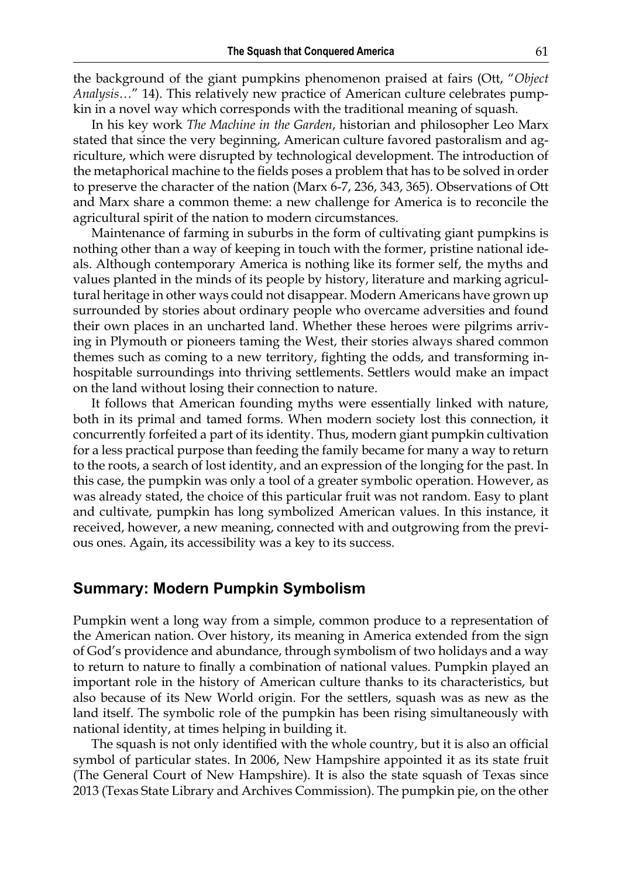the background of the giant pumpkins phenomenon praised at fairs (Ott, "*Object Analysis…*" 14). This relatively new practice of American culture celebrates pumpkin in a novel way which corresponds with the traditional meaning of squash.

In his key work *The Machine in the Garden*, historian and philosopher Leo Marx stated that since the very beginning, American culture favored pastoralism and agriculture, which were disrupted by technological development. The introduction of the metaphorical machine to the fields poses a problem that has to be solved in order to preserve the character of the nation (Marx 6-7, 236, 343, 365). Observations of Ott and Marx share a common theme: a new challenge for America is to reconcile the agricultural spirit of the nation to modern circumstances.

Maintenance of farming in suburbs in the form of cultivating giant pumpkins is nothing other than a way of keeping in touch with the former, pristine national ideals. Although contemporary America is nothing like its former self, the myths and values planted in the minds of its people by history, literature and marking agricultural heritage in other ways could not disappear. Modern Americans have grown up surrounded by stories about ordinary people who overcame adversities and found their own places in an uncharted land. Whether these heroes were pilgrims arriving in Plymouth or pioneers taming the West, their stories always shared common themes such as coming to a new territory, fighting the odds, and transforming inhospitable surroundings into thriving settlements. Settlers would make an impact on the land without losing their connection to nature.

It follows that American founding myths were essentially linked with nature, both in its primal and tamed forms. When modern society lost this connection, it concurrently forfeited a part of its identity. Thus, modern giant pumpkin cultivation for a less practical purpose than feeding the family became for many a way to return to the roots, a search of lost identity, and an expression of the longing for the past. In this case, the pumpkin was only a tool of a greater symbolic operation. However, as was already stated, the choice of this particular fruit was not random. Easy to plant and cultivate, pumpkin has long symbolized American values. In this instance, it received, however, a new meaning, connected with and outgrowing from the previous ones. Again, its accessibility was a key to its success.

#### **Summary: Modern Pumpkin Symbolism**

Pumpkin went a long way from a simple, common produce to a representation of the American nation. Over history, its meaning in America extended from the sign of God's providence and abundance, through symbolism of two holidays and a way to return to nature to finally a combination of national values. Pumpkin played an important role in the history of American culture thanks to its characteristics, but also because of its New World origin. For the settlers, squash was as new as the land itself. The symbolic role of the pumpkin has been rising simultaneously with national identity, at times helping in building it.

The squash is not only identified with the whole country, but it is also an official symbol of particular states. In 2006, New Hampshire appointed it as its state fruit (The General Court of New Hampshire). It is also the state squash of Texas since 2013 (Texas State Library and Archives Commission). The pumpkin pie, on the other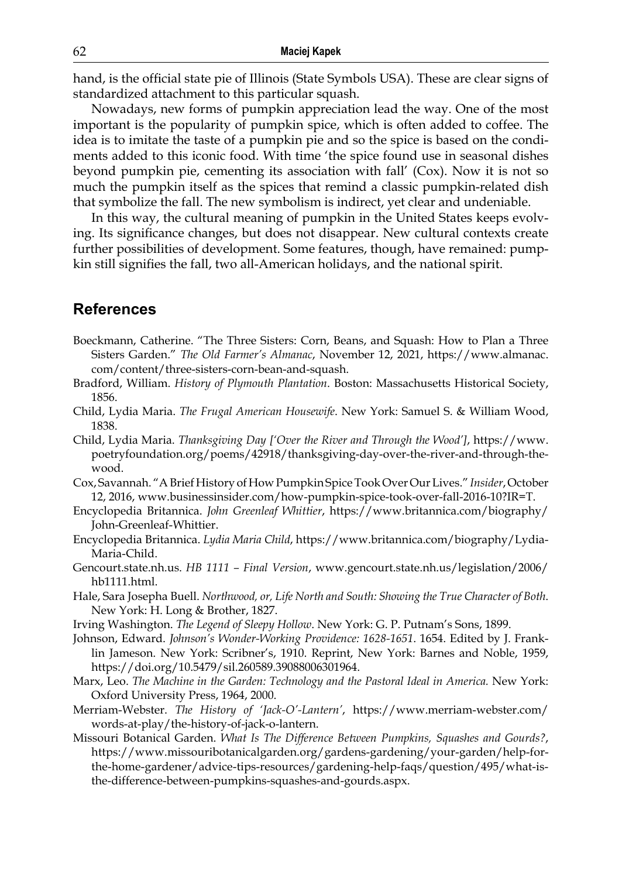hand, is the official state pie of Illinois (State Symbols USA). These are clear signs of standardized attachment to this particular squash.

Nowadays, new forms of pumpkin appreciation lead the way. One of the most important is the popularity of pumpkin spice, which is often added to coffee. The idea is to imitate the taste of a pumpkin pie and so the spice is based on the condiments added to this iconic food. With time 'the spice found use in seasonal dishes beyond pumpkin pie, cementing its association with fall' (Cox). Now it is not so much the pumpkin itself as the spices that remind a classic pumpkin-related dish that symbolize the fall. The new symbolism is indirect, yet clear and undeniable.

In this way, the cultural meaning of pumpkin in the United States keeps evolving. Its significance changes, but does not disappear. New cultural contexts create further possibilities of development. Some features, though, have remained: pumpkin still signifies the fall, two all-American holidays, and the national spirit.

#### **References**

- Boeckmann, Catherine. "The Three Sisters: Corn, Beans, and Squash: How to Plan a Three Sisters Garden." *The Old Farmer's Almanac*, November 12, 2021, [https://www.almanac.](https://www.almanac.com/content/three-sisters-corn-bean-and-squash) [com/content/three-sisters-corn-bean-and-squash](https://www.almanac.com/content/three-sisters-corn-bean-and-squash).
- Bradford, William. *History of Plymouth Plantation*. Boston: Massachusetts Historical Society, 1856.
- Child, Lydia Maria. *The Frugal American Housewife*. New York: Samuel S. & William Wood, 1838.
- Child, Lydia Maria. *Thanksgiving Day ['Over the River and Through the Wood']*, [https://www.](https://www.poetryfoundation.org/poems/42918/thanksgiving-day-over-the-river-and-through-the-wood) [poetryfoundation.org/poems/42918/thanksgiving-day-over-the-river-and-through-the](https://www.poetryfoundation.org/poems/42918/thanksgiving-day-over-the-river-and-through-the-wood)[wood](https://www.poetryfoundation.org/poems/42918/thanksgiving-day-over-the-river-and-through-the-wood).
- Cox, Savannah. "A Brief History of How Pumpkin Spice Took Over Our Lives." *Insider*, October 12, 2016, [www.businessinsider.com/how-pumpkin-spice-took-over-fall-2016-10?IR=T](http://www.businessinsider.com/how-pumpkin-spice-took-over-fall-2016-10?IR=T).
- Encyclopedia Britannica. *John Greenleaf Whittier*, [https://www.britannica.com/biography/](https://www.britannica.com/biography/John-Greenleaf-Whittier) [John-Greenleaf-Whittier](https://www.britannica.com/biography/John-Greenleaf-Whittier).
- Encyclopedia Britannica. *Lydia Maria Child*, [https://www.britannica.com/biography/Lydia-](https://www.britannica.com/biography/Lydia-Maria-Child)[Maria-Child.](https://www.britannica.com/biography/Lydia-Maria-Child)
- Gencourt.state.nh.us. *HB 1111 Final Version*, www.gencourt.state.nh.us/legislation/2006/ hb1111.html.
- Hale, Sara Josepha Buell. *Northwood, or, Life North and South: Showing the True Character of Both*. New York: H. Long & Brother, 1827.
- Irving Washington. *The Legend of Sleepy Hollow*. New York: G. P. Putnam's Sons, 1899.
- Johnson, Edward. *Johnson's Wonder-Working Providence: 1628-1651*. 1654. Edited by J. Franklin Jameson. New York: Scribner's, 1910. Reprint, New York: Barnes and Noble, 1959, https://doi.org/10.5479/sil.260589.39088006301964.
- Marx, Leo. *The Machine in the Garden: Technology and the Pastoral Ideal in America.* New York: Oxford University Press, 1964, 2000.
- Merriam-Webster. *The History of 'Jack-O'-Lantern'*, [https://www.merriam-webster.com/](https://www.merriam-webster.com/words-at-play/the-history-of-jack-o-lantern) [words-at-play/the-history-of-jack-o-lantern](https://www.merriam-webster.com/words-at-play/the-history-of-jack-o-lantern).
- Missouri Botanical Garden. *What Is The Difference Between Pumpkins, Squashes and Gourds?*, [https://www.missouribotanicalgarden.org/gardens-gardening/your-garden/help-for](https://www.missouribotanicalgarden.org/gardens-gardening/your-garden/help-for-the-home-gardener/advice-tips-resources/gardening-help-faqs/question/495/what-is-the-difference-between-pumpkins-squashes-and-gourds.aspx)[the-home-gardener/advice-tips-resources/gardening-help-faqs/question/495/what-is](https://www.missouribotanicalgarden.org/gardens-gardening/your-garden/help-for-the-home-gardener/advice-tips-resources/gardening-help-faqs/question/495/what-is-the-difference-between-pumpkins-squashes-and-gourds.aspx)[the-difference-between-pumpkins-squashes-and-gourds.aspx.](https://www.missouribotanicalgarden.org/gardens-gardening/your-garden/help-for-the-home-gardener/advice-tips-resources/gardening-help-faqs/question/495/what-is-the-difference-between-pumpkins-squashes-and-gourds.aspx)